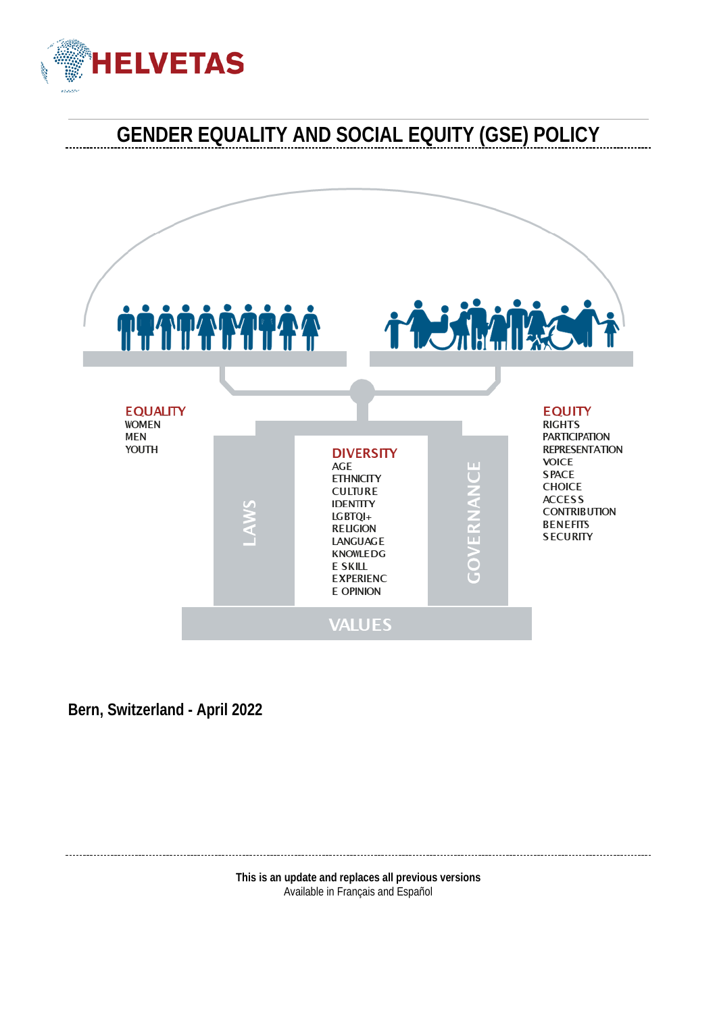

# **GENDER EQUALITY AND SOCIAL EQUITY (GSE) POLICY**



**Bern, Switzerland - April 2022**

**This is an update and replaces all previous versions** Available in Français and Español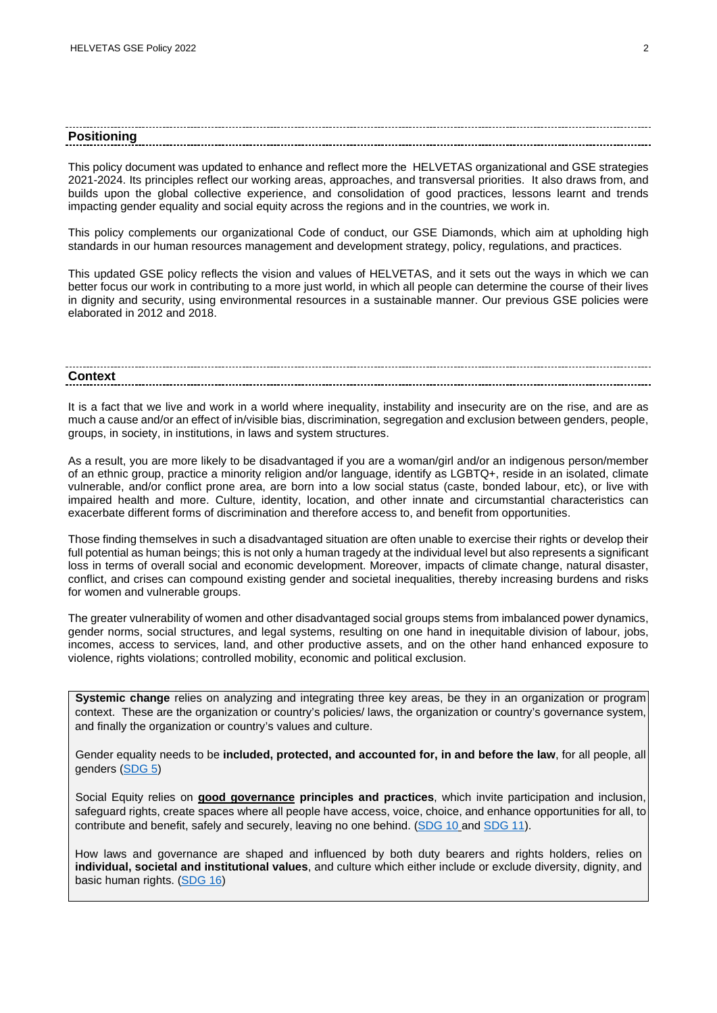#### **Positioning**

This policy document was updated to enhance and reflect more the HELVETAS organizational and GSE strategies 2021-2024. Its principles reflect our working areas, approaches, and transversal priorities. It also draws from, and builds upon the global collective experience, and consolidation of good practices, lessons learnt and trends impacting gender equality and social equity across the regions and in the countries, we work in.

This policy complements our organizational Code of conduct, our GSE Diamonds, which aim at upholding high standards in our human resources management and development strategy, policy, regulations, and practices.

This updated GSE policy reflects the vision and values of HELVETAS, and it sets out the ways in which we can better focus our work in contributing to a more just world, in which all people can determine the course of their lives in dignity and security, using environmental resources in a sustainable manner. Our previous GSE policies were elaborated in 2012 and 2018.

# **Context**

It is a fact that we live and work in a world where inequality, instability and insecurity are on the rise, and are as much a cause and/or an effect of in/visible bias, discrimination, segregation and exclusion between genders, people, groups, in society, in institutions, in laws and system structures.

As a result, you are more likely to be disadvantaged if you are a woman/girl and/or an indigenous person/member of an ethnic group, practice a minority religion and/or language, identify as LGBTQ+, reside in an isolated, climate vulnerable, and/or conflict prone area, are born into a low social status (caste, bonded labour, etc), or live with impaired health and more. Culture, identity, location, and other innate and circumstantial characteristics can exacerbate different forms of discrimination and therefore access to, and benefit from opportunities.

Those finding themselves in such a disadvantaged situation are often unable to exercise their rights or develop their full potential as human beings; this is not only a human tragedy at the individual level but also represents a significant loss in terms of overall social and economic development. Moreover, impacts of climate change, natural disaster, conflict, and crises can compound existing gender and societal inequalities, thereby increasing burdens and risks for women and vulnerable groups.

The greater vulnerability of women and other disadvantaged social groups stems from imbalanced power dynamics, gender norms, social structures, and legal systems, resulting on one hand in inequitable division of labour, jobs, incomes, access to services, land, and other productive assets, and on the other hand enhanced exposure to violence, rights violations; controlled mobility, economic and political exclusion.

**Systemic change** relies on analyzing and integrating three key areas, be they in an organization or program context. These are the organization or country's policies/ laws, the organization or country's governance system, and finally the organization or country's values and culture.

Gender equality needs to be **included, protected, and accounted for, in and before the law**, for all people, all genders [\(SDG 5\)](https://sdgs.un.org/goals/goal5)

Social Equity relies on **[good governance](https://www.eda.admin.ch/deza/en/home/themes-sdc/state-economic-reforms.html) principles and practices**, which invite participation and inclusion, safeguard rights, create spaces where all people have access, voice, choice, and enhance opportunities for all, to contribute and benefit, safely and securely, leaving no one behind. [\(SDG 10](https://sdgs.un.org/goals/goal10) and [SDG 11\)](https://sdgs.un.org/goals/goal11).

How laws and governance are shaped and influenced by both duty bearers and rights holders, relies on **individual, societal and institutional values**, and culture which either include or exclude diversity, dignity, and basic human rights. [\(SDG 16\)](https://sdgs.un.org/goals/goal16)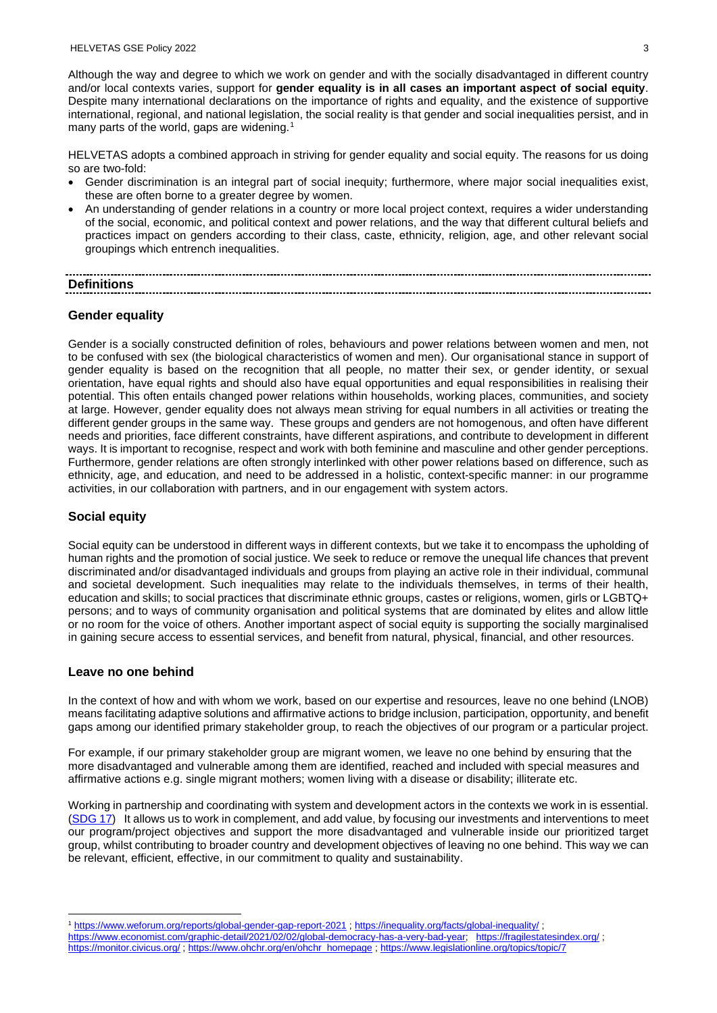Although the way and degree to which we work on gender and with the socially disadvantaged in different country and/or local contexts varies, support for **gender equality is in all cases an important aspect of social equity**. Despite many international declarations on the importance of rights and equality, and the existence of supportive international, regional, and national legislation, the social reality is that gender and social inequalities persist, and in many parts of the world, gaps are widening. [1](#page-2-0)

HELVETAS adopts a combined approach in striving for gender equality and social equity. The reasons for us doing so are two-fold:

- Gender discrimination is an integral part of social inequity; furthermore, where major social inequalities exist, these are often borne to a greater degree by women.
- An understanding of gender relations in a country or more local project context, requires a wider understanding of the social, economic, and political context and power relations, and the way that different cultural beliefs and practices impact on genders according to their class, caste, ethnicity, religion, age, and other relevant social groupings which entrench inequalities.

## **Definitions**

### **Gender equality**

Gender is a socially constructed definition of roles, behaviours and power relations between women and men, not to be confused with sex (the biological characteristics of women and men). Our organisational stance in support of gender equality is based on the recognition that all people, no matter their sex, or gender identity, or sexual orientation, have equal rights and should also have equal opportunities and equal responsibilities in realising their potential. This often entails changed power relations within households, working places, communities, and society at large. However, gender equality does not always mean striving for equal numbers in all activities or treating the different gender groups in the same way. These groups and genders are not homogenous, and often have different needs and priorities, face different constraints, have different aspirations, and contribute to development in different ways. It is important to recognise, respect and work with both feminine and masculine and other gender perceptions. Furthermore, gender relations are often strongly interlinked with other power relations based on difference, such as ethnicity, age, and education, and need to be addressed in a holistic, context-specific manner: in our programme activities, in our collaboration with partners, and in our engagement with system actors.

### **Social equity**

Social equity can be understood in different ways in different contexts, but we take it to encompass the upholding of human rights and the promotion of social justice. We seek to reduce or remove the unequal life chances that prevent discriminated and/or disadvantaged individuals and groups from playing an active role in their individual, communal and societal development. Such inequalities may relate to the individuals themselves, in terms of their health, education and skills; to social practices that discriminate ethnic groups, castes or religions, women, girls or LGBTQ+ persons; and to ways of community organisation and political systems that are dominated by elites and allow little or no room for the voice of others. Another important aspect of social equity is supporting the socially marginalised in gaining secure access to essential services, and benefit from natural, physical, financial, and other resources.

### **Leave no one behind**

In the context of how and with whom we work, based on our expertise and resources, leave no one behind (LNOB) means facilitating adaptive solutions and affirmative actions to bridge inclusion, participation, opportunity, and benefit gaps among our identified primary stakeholder group, to reach the objectives of our program or a particular project.

For example, if our primary stakeholder group are migrant women, we leave no one behind by ensuring that the more disadvantaged and vulnerable among them are identified, reached and included with special measures and affirmative actions e.g. single migrant mothers; women living with a disease or disability; illiterate etc.

Working in partnership and coordinating with system and development actors in the contexts we work in is essential. [\(SDG](https://sdgs.un.org/goals/goal17) [17\)](https://sdgs.un.org/goals/goal17) It allows us to work in complement, and add value, by focusing our investments and interventions to meet our program/project objectives and support the more disadvantaged and vulnerable inside our prioritized target group, whilst contributing to broader country and development objectives of leaving no one behind. This way we can be relevant, efficient, effective, in our commitment to quality and sustainability.

<span id="page-2-0"></span><sup>1</sup> <https://www.weforum.org/reports/global-gender-gap-report-2021> [; https://inequality.org/facts/global-inequality/](https://inequality.org/facts/global-inequality/) ;

[https://www.economist.com/graphic-detail/2021/02/02/global-democracy-has-a-very-bad-year;](https://www.economist.com/graphic-detail/2021/02/02/global-democracy-has-a-very-bad-year) <https://fragilestatesindex.org/> ; <https://monitor.civicus.org/> [; https://www.ohchr.org/en/ohchr\\_homepage](https://www.ohchr.org/en/ohchr_homepage) ;<https://www.legislationline.org/topics/topic/7>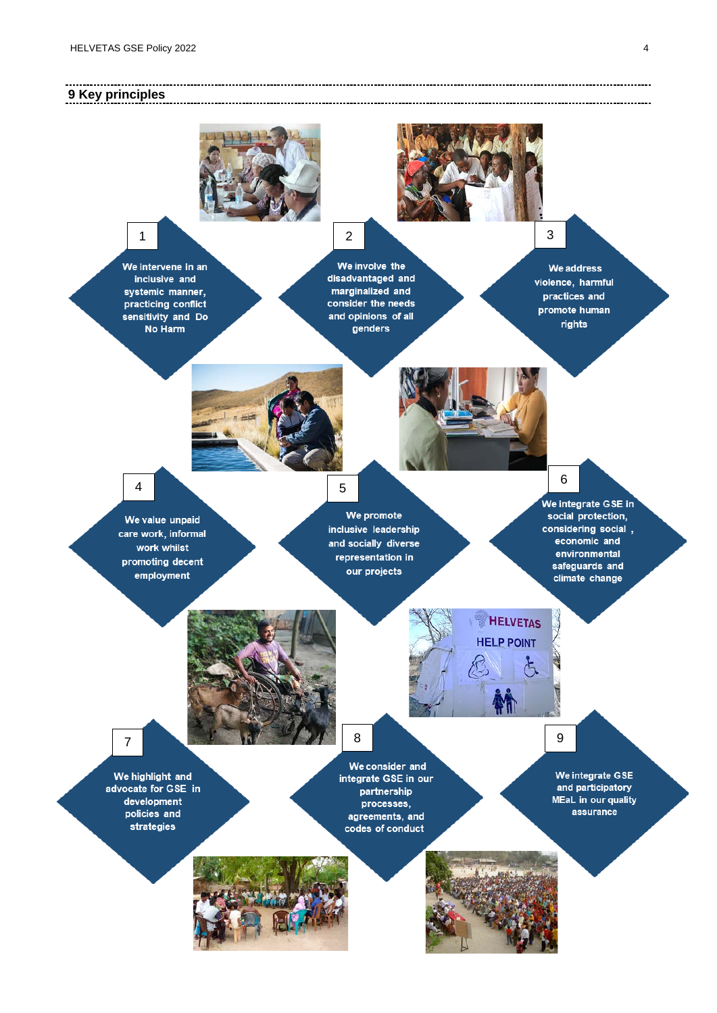-----------------------

### **9 Key principles**



--------------------------------------